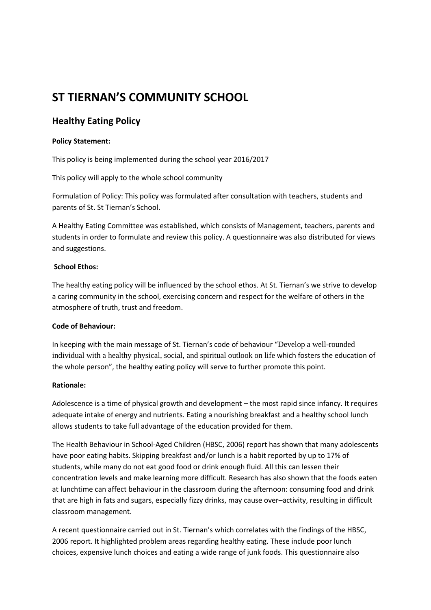# **ST TIERNAN'S COMMUNITY SCHOOL**

## **Healthy Eating Policy**

## **Policy Statement:**

This policy is being implemented during the school year 2016/2017

This policy will apply to the whole school community

Formulation of Policy: This policy was formulated after consultation with teachers, students and parents of St. St Tiernan's School.

A Healthy Eating Committee was established, which consists of Management, teachers, parents and students in order to formulate and review this policy. A questionnaire was also distributed for views and suggestions.

## **School Ethos:**

The healthy eating policy will be influenced by the school ethos. At St. Tiernan's we strive to develop a caring community in the school, exercising concern and respect for the welfare of others in the atmosphere of truth, trust and freedom.

## **Code of Behaviour:**

In keeping with the main message of St. Tiernan's code of behaviour "Develop a well-rounded individual with a healthy physical, social, and spiritual outlook on life which fosters the education of the whole person", the healthy eating policy will serve to further promote this point.

## **Rationale:**

Adolescence is a time of physical growth and development – the most rapid since infancy. It requires adequate intake of energy and nutrients. Eating a nourishing breakfast and a healthy school lunch allows students to take full advantage of the education provided for them.

The Health Behaviour in School-Aged Children (HBSC, 2006) report has shown that many adolescents have poor eating habits. Skipping breakfast and/or lunch is a habit reported by up to 17% of students, while many do not eat good food or drink enough fluid. All this can lessen their concentration levels and make learning more difficult. Research has also shown that the foods eaten at lunchtime can affect behaviour in the classroom during the afternoon: consuming food and drink that are high in fats and sugars, especially fizzy drinks, may cause over–activity, resulting in difficult classroom management.

A recent questionnaire carried out in St. Tiernan's which correlates with the findings of the HBSC, 2006 report. It highlighted problem areas regarding healthy eating. These include poor lunch choices, expensive lunch choices and eating a wide range of junk foods. This questionnaire also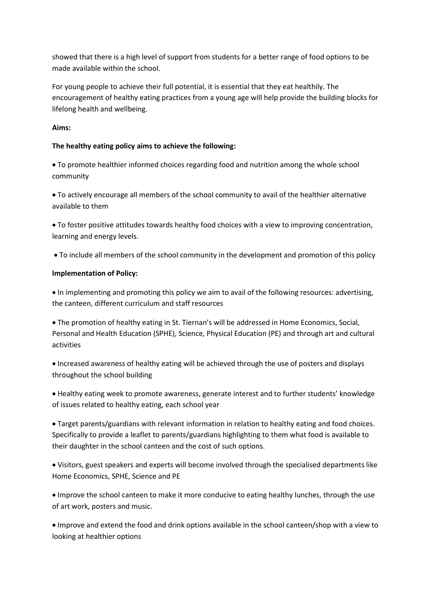showed that there is a high level of support from students for a better range of food options to be made available within the school.

For young people to achieve their full potential, it is essential that they eat healthily. The encouragement of healthy eating practices from a young age will help provide the building blocks for lifelong health and wellbeing.

## **Aims:**

## **The healthy eating policy aims to achieve the following:**

 To promote healthier informed choices regarding food and nutrition among the whole school community

 To actively encourage all members of the school community to avail of the healthier alternative available to them

 To foster positive attitudes towards healthy food choices with a view to improving concentration, learning and energy levels.

To include all members of the school community in the development and promotion of this policy

## **Implementation of Policy:**

 In implementing and promoting this policy we aim to avail of the following resources: advertising, the canteen, different curriculum and staff resources

 The promotion of healthy eating in St. Tiernan's will be addressed in Home Economics, Social, Personal and Health Education (SPHE), Science, Physical Education (PE) and through art and cultural activities

 Increased awareness of healthy eating will be achieved through the use of posters and displays throughout the school building

 Healthy eating week to promote awareness, generate interest and to further students' knowledge of issues related to healthy eating, each school year

 Target parents/guardians with relevant information in relation to healthy eating and food choices. Specifically to provide a leaflet to parents/guardians highlighting to them what food is available to their daughter in the school canteen and the cost of such options.

 Visitors, guest speakers and experts will become involved through the specialised departments like Home Economics, SPHE, Science and PE

 Improve the school canteen to make it more conducive to eating healthy lunches, through the use of art work, posters and music.

 Improve and extend the food and drink options available in the school canteen/shop with a view to looking at healthier options